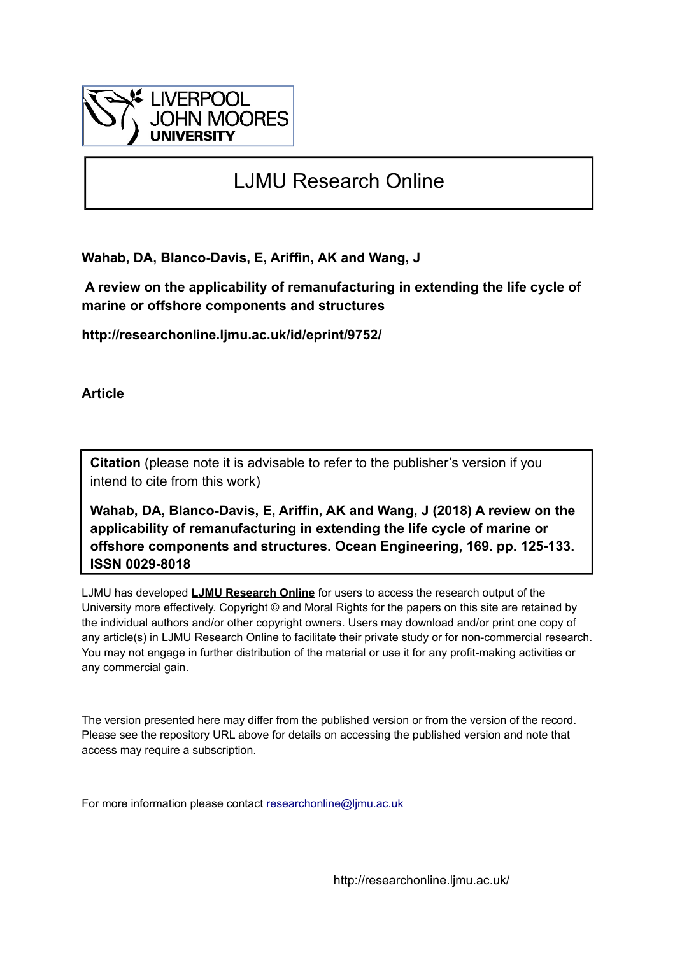

# LJMU Research Online

**Wahab, DA, Blanco-Davis, E, Ariffin, AK and Wang, J**

 **A review on the applicability of remanufacturing in extending the life cycle of marine or offshore components and structures**

**http://researchonline.ljmu.ac.uk/id/eprint/9752/**

**Article**

**Citation** (please note it is advisable to refer to the publisher's version if you intend to cite from this work)

**Wahab, DA, Blanco-Davis, E, Ariffin, AK and Wang, J (2018) A review on the applicability of remanufacturing in extending the life cycle of marine or offshore components and structures. Ocean Engineering, 169. pp. 125-133. ISSN 0029-8018** 

LJMU has developed **[LJMU Research Online](http://researchonline.ljmu.ac.uk/)** for users to access the research output of the University more effectively. Copyright © and Moral Rights for the papers on this site are retained by the individual authors and/or other copyright owners. Users may download and/or print one copy of any article(s) in LJMU Research Online to facilitate their private study or for non-commercial research. You may not engage in further distribution of the material or use it for any profit-making activities or any commercial gain.

The version presented here may differ from the published version or from the version of the record. Please see the repository URL above for details on accessing the published version and note that access may require a subscription.

For more information please contact [researchonline@ljmu.ac.uk](mailto:researchonline@ljmu.ac.uk)

http://researchonline.ljmu.ac.uk/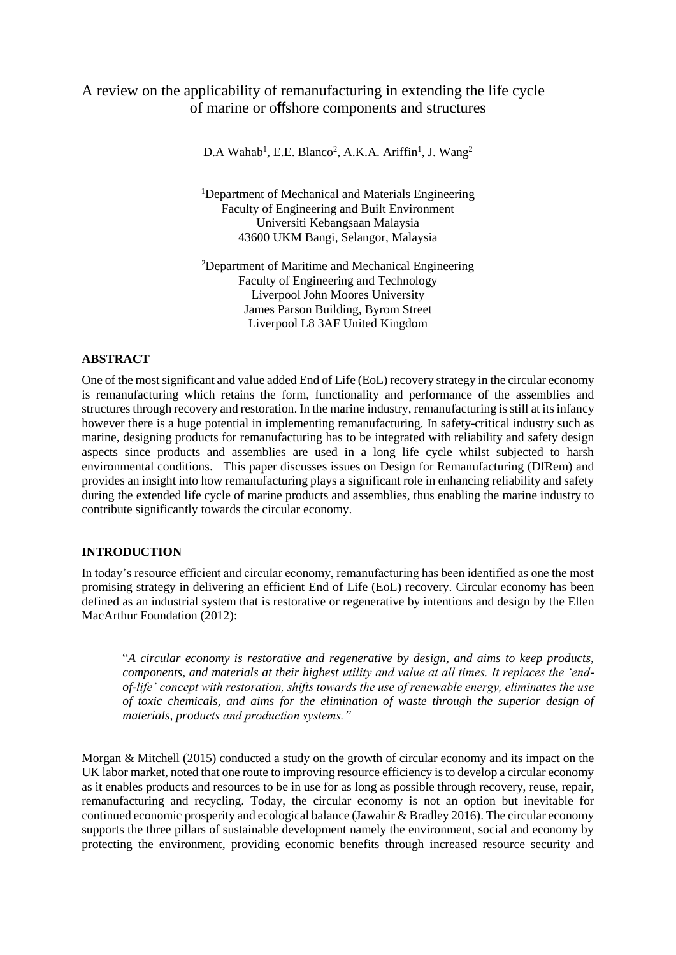# A review on the applicability of remanufacturing in extending the life cycle of marine or offshore components and structures

 $D.A$  Wahab<sup>1</sup>, E.E. Blanco<sup>2</sup>, A.K.A. Ariffin<sup>1</sup>, J. Wang<sup>2</sup>

<sup>1</sup>Department of Mechanical and Materials Engineering Faculty of Engineering and Built Environment Universiti Kebangsaan Malaysia 43600 UKM Bangi, Selangor, Malaysia

<sup>2</sup>Department of Maritime and Mechanical Engineering Faculty of Engineering and Technology Liverpool John Moores University James Parson Building, Byrom Street Liverpool L8 3AF United Kingdom

# **ABSTRACT**

One of the most significant and value added End of Life (EoL) recovery strategy in the circular economy is remanufacturing which retains the form, functionality and performance of the assemblies and structures through recovery and restoration. In the marine industry, remanufacturing is still at its infancy however there is a huge potential in implementing remanufacturing. In safety-critical industry such as marine, designing products for remanufacturing has to be integrated with reliability and safety design aspects since products and assemblies are used in a long life cycle whilst subjected to harsh environmental conditions. This paper discusses issues on Design for Remanufacturing (DfRem) and provides an insight into how remanufacturing plays a significant role in enhancing reliability and safety during the extended life cycle of marine products and assemblies, thus enabling the marine industry to contribute significantly towards the circular economy.

#### **INTRODUCTION**

In today's resource efficient and circular economy, remanufacturing has been identified as one the most promising strategy in delivering an efficient End of Life (EoL) recovery. Circular economy has been defined as an industrial system that is restorative or regenerative by intentions and design by the Ellen MacArthur Foundation (2012):

"*A circular economy is restorative and regenerative by design, and aims to keep products, components, and materials at their highest utility and value at all times. It replaces the 'endof*-*life' concept with restoration, shifts towards the use of renewable energy, eliminates the use of toxic chemicals, and aims for the elimination of waste through the superior design of materials, products and production systems."*

Morgan & Mitchell (2015) conducted a study on the growth of circular economy and its impact on the UK labor market, noted that one route to improving resource efficiency is to develop a circular economy as it enables products and resources to be in use for as long as possible through recovery, reuse, repair, remanufacturing and recycling. Today, the circular economy is not an option but inevitable for continued economic prosperity and ecological balance (Jawahir & Bradley 2016). The circular economy supports the three pillars of sustainable development namely the environment, social and economy by protecting the environment, providing economic benefits through increased resource security and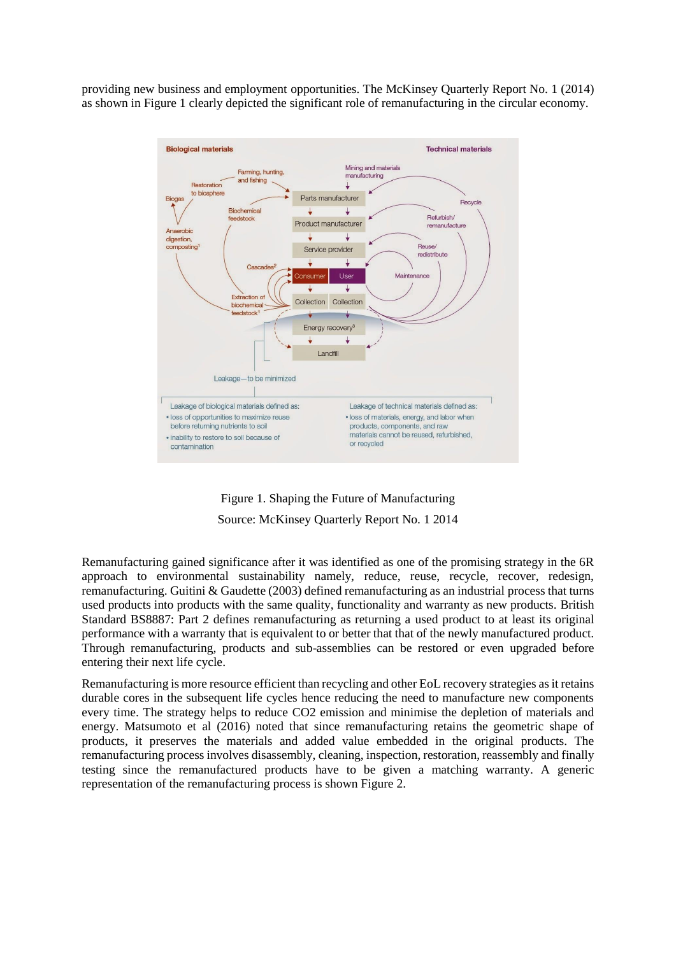providing new business and employment opportunities. The McKinsey Quarterly Report No. 1 (2014) as shown in Figure 1 clearly depicted the significant role of remanufacturing in the circular economy.





Remanufacturing gained significance after it was identified as one of the promising strategy in the 6R approach to environmental sustainability namely, reduce, reuse, recycle, recover, redesign, remanufacturing. Guitini & Gaudette (2003) defined remanufacturing as an industrial process that turns used products into products with the same quality, functionality and warranty as new products. British Standard BS8887: Part 2 defines remanufacturing as returning a used product to at least its original performance with a warranty that is equivalent to or better that that of the newly manufactured product. Through remanufacturing, products and sub-assemblies can be restored or even upgraded before entering their next life cycle.

Remanufacturing is more resource efficient than recycling and other EoL recovery strategies as it retains durable cores in the subsequent life cycles hence reducing the need to manufacture new components every time. The strategy helps to reduce CO2 emission and minimise the depletion of materials and energy. Matsumoto et al (2016) noted that since remanufacturing retains the geometric shape of products, it preserves the materials and added value embedded in the original products. The remanufacturing process involves disassembly, cleaning, inspection, restoration, reassembly and finally testing since the remanufactured products have to be given a matching warranty. A generic representation of the remanufacturing process is shown Figure 2.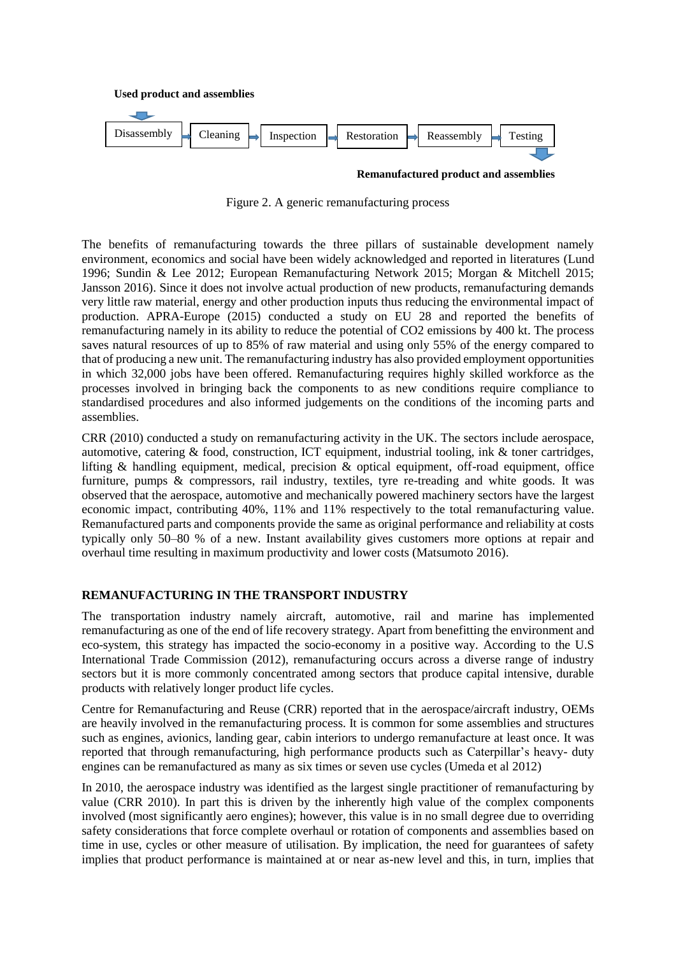

**Remanufactured product and assemblies**

Figure 2. A generic remanufacturing process

The benefits of remanufacturing towards the three pillars of sustainable development namely environment, economics and social have been widely acknowledged and reported in literatures (Lund 1996; Sundin & Lee 2012; European Remanufacturing Network 2015; Morgan & Mitchell 2015; Jansson 2016). Since it does not involve actual production of new products, remanufacturing demands very little raw material, energy and other production inputs thus reducing the environmental impact of production. APRA-Europe (2015) conducted a study on EU 28 and reported the benefits of remanufacturing namely in its ability to reduce the potential of CO2 emissions by 400 kt. The process saves natural resources of up to 85% of raw material and using only 55% of the energy compared to that of producing a new unit. The remanufacturing industry has also provided employment opportunities in which 32,000 jobs have been offered. Remanufacturing requires highly skilled workforce as the processes involved in bringing back the components to as new conditions require compliance to standardised procedures and also informed judgements on the conditions of the incoming parts and assemblies.

CRR (2010) conducted a study on remanufacturing activity in the UK. The sectors include aerospace, automotive, catering & food, construction, ICT equipment, industrial tooling, ink & toner cartridges, lifting & handling equipment, medical, precision & optical equipment, off-road equipment, office furniture, pumps & compressors, rail industry, textiles, tyre re-treading and white goods. It was observed that the aerospace, automotive and mechanically powered machinery sectors have the largest economic impact, contributing 40%, 11% and 11% respectively to the total remanufacturing value. Remanufactured parts and components provide the same as original performance and reliability at costs typically only 50–80 % of a new. Instant availability gives customers more options at repair and overhaul time resulting in maximum productivity and lower costs (Matsumoto 2016).

#### **REMANUFACTURING IN THE TRANSPORT INDUSTRY**

The transportation industry namely aircraft, automotive, rail and marine has implemented remanufacturing as one of the end of life recovery strategy. Apart from benefitting the environment and eco-system, this strategy has impacted the socio-economy in a positive way. According to the U.S International Trade Commission (2012), remanufacturing occurs across a diverse range of industry sectors but it is more commonly concentrated among sectors that produce capital intensive, durable products with relatively longer product life cycles.

Centre for Remanufacturing and Reuse (CRR) reported that in the aerospace/aircraft industry, OEMs are heavily involved in the remanufacturing process. It is common for some assemblies and structures such as engines, avionics, landing gear, cabin interiors to undergo remanufacture at least once. It was reported that through remanufacturing, high performance products such as Caterpillar's heavy- duty engines can be remanufactured as many as six times or seven use cycles (Umeda et al 2012)

In 2010, the aerospace industry was identified as the largest single practitioner of remanufacturing by value (CRR 2010). In part this is driven by the inherently high value of the complex components involved (most significantly aero engines); however, this value is in no small degree due to overriding safety considerations that force complete overhaul or rotation of components and assemblies based on time in use, cycles or other measure of utilisation. By implication, the need for guarantees of safety implies that product performance is maintained at or near as-new level and this, in turn, implies that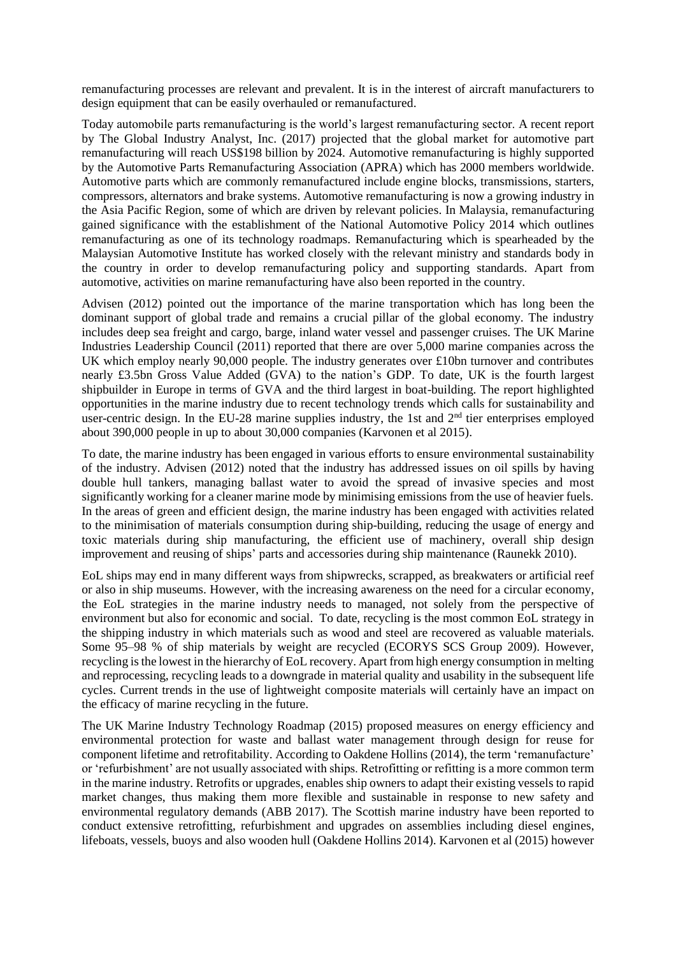remanufacturing processes are relevant and prevalent. It is in the interest of aircraft manufacturers to design equipment that can be easily overhauled or remanufactured.

Today automobile parts remanufacturing is the world's largest remanufacturing sector. A recent report by The Global Industry Analyst, Inc. (2017) projected that the global market for automotive part remanufacturing will reach US\$198 billion by 2024. Automotive remanufacturing is highly supported by the Automotive Parts Remanufacturing Association (APRA) which has 2000 members worldwide. Automotive parts which are commonly remanufactured include engine blocks, transmissions, starters, compressors, alternators and brake systems. Automotive remanufacturing is now a growing industry in the Asia Pacific Region, some of which are driven by relevant policies. In Malaysia, remanufacturing gained significance with the establishment of the National Automotive Policy 2014 which outlines remanufacturing as one of its technology roadmaps. Remanufacturing which is spearheaded by the Malaysian Automotive Institute has worked closely with the relevant ministry and standards body in the country in order to develop remanufacturing policy and supporting standards. Apart from automotive, activities on marine remanufacturing have also been reported in the country.

Advisen (2012) pointed out the importance of the marine transportation which has long been the dominant support of global trade and remains a crucial pillar of the global economy. The industry includes deep sea freight and cargo, barge, inland water vessel and passenger cruises. The UK Marine Industries Leadership Council (2011) reported that there are over 5,000 marine companies across the UK which employ nearly 90,000 people. The industry generates over £10bn turnover and contributes nearly £3.5bn Gross Value Added (GVA) to the nation's GDP. To date, UK is the fourth largest shipbuilder in Europe in terms of GVA and the third largest in boat-building. The report highlighted opportunities in the marine industry due to recent technology trends which calls for sustainability and user-centric design. In the EU-28 marine supplies industry, the 1st and  $2<sup>nd</sup>$  tier enterprises employed about 390,000 people in up to about 30,000 companies (Karvonen et al 2015).

To date, the marine industry has been engaged in various efforts to ensure environmental sustainability of the industry. Advisen (2012) noted that the industry has addressed issues on oil spills by having double hull tankers, managing ballast water to avoid the spread of invasive species and most significantly working for a cleaner marine mode by minimising emissions from the use of heavier fuels. In the areas of green and efficient design, the marine industry has been engaged with activities related to the minimisation of materials consumption during ship-building, reducing the usage of energy and toxic materials during ship manufacturing, the efficient use of machinery, overall ship design improvement and reusing of ships' parts and accessories during ship maintenance (Raunekk 2010).

EoL ships may end in many different ways from shipwrecks, scrapped, as breakwaters or artificial reef or also in ship museums. However, with the increasing awareness on the need for a circular economy, the EoL strategies in the marine industry needs to managed, not solely from the perspective of environment but also for economic and social. To date, recycling is the most common EoL strategy in the shipping industry in which materials such as wood and steel are recovered as valuable materials. Some 95–98 % of ship materials by weight are recycled (ECORYS SCS Group 2009). However, recycling is the lowest in the hierarchy of EoL recovery. Apart from high energy consumption in melting and reprocessing, recycling leads to a downgrade in material quality and usability in the subsequent life cycles. Current trends in the use of lightweight composite materials will certainly have an impact on the efficacy of marine recycling in the future.

The UK Marine Industry Technology Roadmap (2015) proposed measures on energy efficiency and environmental protection for waste and ballast water management through design for reuse for component lifetime and retrofitability. According to Oakdene Hollins (2014), the term 'remanufacture' or 'refurbishment' are not usually associated with ships. Retrofitting or refitting is a more common term in the marine industry. Retrofits or upgrades, enables ship owners to adapt their existing vessels to rapid market changes, thus making them more flexible and sustainable in response to new safety and environmental regulatory demands (ABB 2017). The Scottish marine industry have been reported to conduct extensive retrofitting, refurbishment and upgrades on assemblies including diesel engines, lifeboats, vessels, buoys and also wooden hull (Oakdene Hollins 2014). Karvonen et al (2015) however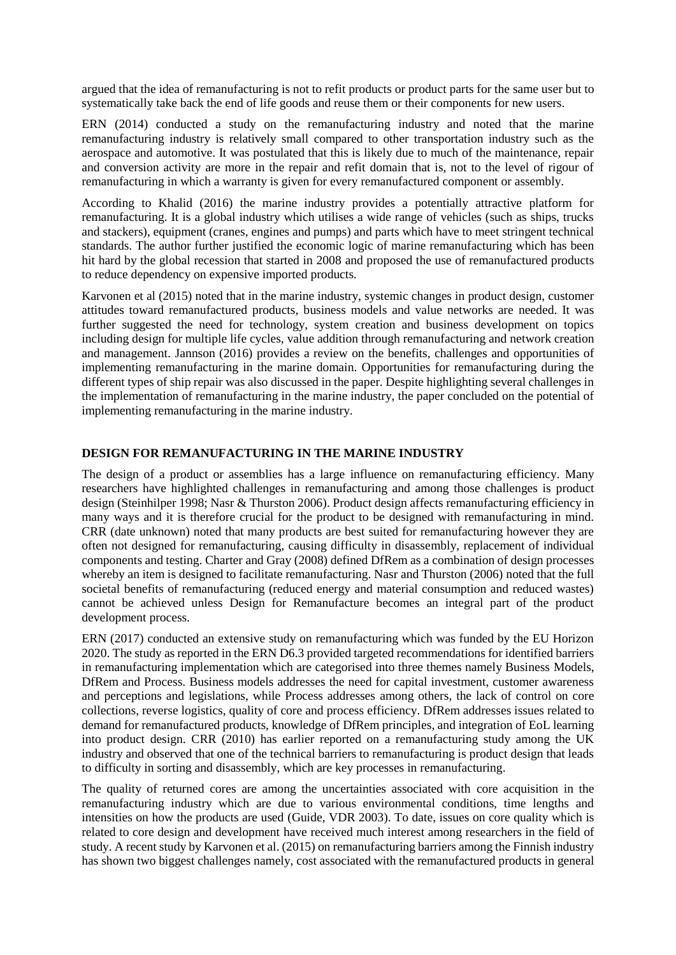argued that the idea of remanufacturing is not to refit products or product parts for the same user but to systematically take back the end of life goods and reuse them or their components for new users.

ERN (2014) conducted a study on the remanufacturing industry and noted that the marine remanufacturing industry is relatively small compared to other transportation industry such as the aerospace and automotive. It was postulated that this is likely due to much of the maintenance, repair and conversion activity are more in the repair and refit domain that is, not to the level of rigour of remanufacturing in which a warranty is given for every remanufactured component or assembly.

According to Khalid (2016) the marine industry provides a potentially attractive platform for remanufacturing. It is a global industry which utilises a wide range of vehicles (such as ships, trucks and stackers), equipment (cranes, engines and pumps) and parts which have to meet stringent technical standards. The author further justified the economic logic of marine remanufacturing which has been hit hard by the global recession that started in 2008 and proposed the use of remanufactured products to reduce dependency on expensive imported products.

Karvonen et al (2015) noted that in the marine industry, systemic changes in product design, customer attitudes toward remanufactured products, business models and value networks are needed. It was further suggested the need for technology, system creation and business development on topics including design for multiple life cycles, value addition through remanufacturing and network creation and management. Jannson (2016) provides a review on the benefits, challenges and opportunities of implementing remanufacturing in the marine domain. Opportunities for remanufacturing during the different types of ship repair was also discussed in the paper. Despite highlighting several challenges in the implementation of remanufacturing in the marine industry, the paper concluded on the potential of implementing remanufacturing in the marine industry.

# **DESIGN FOR REMANUFACTURING IN THE MARINE INDUSTRY**

The design of a product or assemblies has a large influence on remanufacturing efficiency. Many researchers have highlighted challenges in remanufacturing and among those challenges is product design (Steinhilper 1998; Nasr & Thurston 2006). Product design affects remanufacturing efficiency in many ways and it is therefore crucial for the product to be designed with remanufacturing in mind. CRR (date unknown) noted that many products are best suited for remanufacturing however they are often not designed for remanufacturing, causing difficulty in disassembly, replacement of individual components and testing. Charter and Gray (2008) defined DfRem as a combination of design processes whereby an item is designed to facilitate remanufacturing. Nasr and Thurston (2006) noted that the full societal benefits of remanufacturing (reduced energy and material consumption and reduced wastes) cannot be achieved unless Design for Remanufacture becomes an integral part of the product development process.

ERN (2017) conducted an extensive study on remanufacturing which was funded by the EU Horizon 2020. The study as reported in the ERN D6.3 provided targeted recommendations for identified barriers in remanufacturing implementation which are categorised into three themes namely Business Models, DfRem and Process. Business models addresses the need for capital investment, customer awareness and perceptions and legislations, while Process addresses among others, the lack of control on core collections, reverse logistics, quality of core and process efficiency. DfRem addresses issues related to demand for remanufactured products, knowledge of DfRem principles, and integration of EoL learning into product design. CRR (2010) has earlier reported on a remanufacturing study among the UK industry and observed that one of the technical barriers to remanufacturing is product design that leads to difficulty in sorting and disassembly, which are key processes in remanufacturing.

The quality of returned cores are among the uncertainties associated with core acquisition in the remanufacturing industry which are due to various environmental conditions, time lengths and intensities on how the products are used (Guide, VDR 2003). To date, issues on core quality which is related to core design and development have received much interest among researchers in the field of study. A recent study by Karvonen et al. (2015) on remanufacturing barriers among the Finnish industry has shown two biggest challenges namely, cost associated with the remanufactured products in general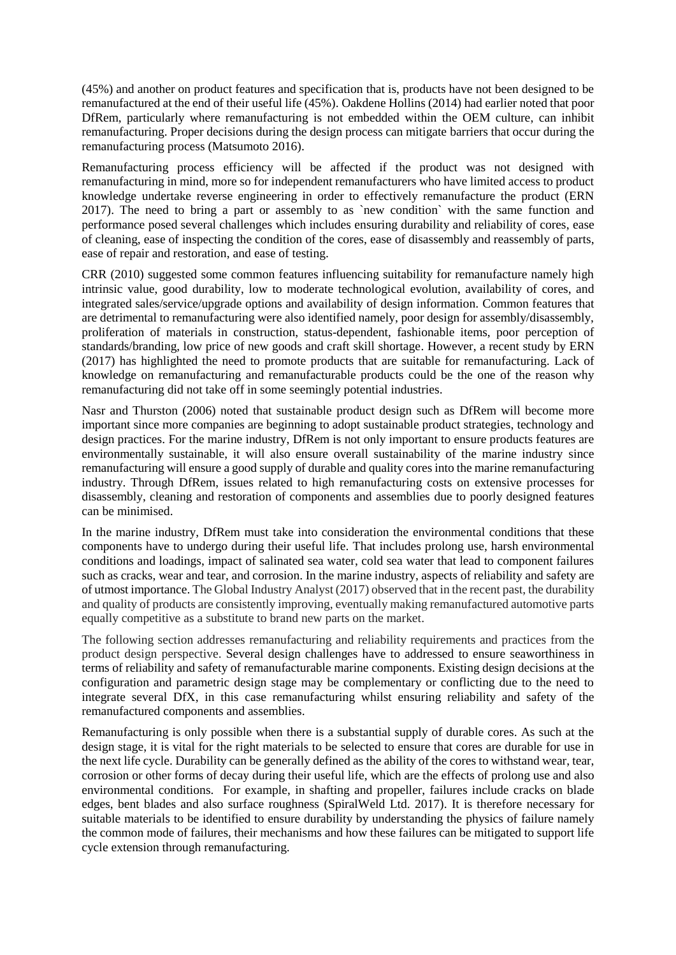(45%) and another on product features and specification that is, products have not been designed to be remanufactured at the end of their useful life (45%). Oakdene Hollins (2014) had earlier noted that poor DfRem, particularly where remanufacturing is not embedded within the OEM culture, can inhibit remanufacturing. Proper decisions during the design process can mitigate barriers that occur during the remanufacturing process (Matsumoto 2016).

Remanufacturing process efficiency will be affected if the product was not designed with remanufacturing in mind, more so for independent remanufacturers who have limited access to product knowledge undertake reverse engineering in order to effectively remanufacture the product (ERN 2017). The need to bring a part or assembly to as `new condition` with the same function and performance posed several challenges which includes ensuring durability and reliability of cores, ease of cleaning, ease of inspecting the condition of the cores, ease of disassembly and reassembly of parts, ease of repair and restoration, and ease of testing.

CRR (2010) suggested some common features influencing suitability for remanufacture namely high intrinsic value, good durability, low to moderate technological evolution, availability of cores, and integrated sales/service/upgrade options and availability of design information. Common features that are detrimental to remanufacturing were also identified namely, poor design for assembly/disassembly, proliferation of materials in construction, status-dependent, fashionable items, poor perception of standards/branding, low price of new goods and craft skill shortage. However, a recent study by ERN (2017) has highlighted the need to promote products that are suitable for remanufacturing. Lack of knowledge on remanufacturing and remanufacturable products could be the one of the reason why remanufacturing did not take off in some seemingly potential industries.

Nasr and Thurston (2006) noted that sustainable product design such as DfRem will become more important since more companies are beginning to adopt sustainable product strategies, technology and design practices. For the marine industry, DfRem is not only important to ensure products features are environmentally sustainable, it will also ensure overall sustainability of the marine industry since remanufacturing will ensure a good supply of durable and quality cores into the marine remanufacturing industry. Through DfRem, issues related to high remanufacturing costs on extensive processes for disassembly, cleaning and restoration of components and assemblies due to poorly designed features can be minimised.

In the marine industry, DfRem must take into consideration the environmental conditions that these components have to undergo during their useful life. That includes prolong use, harsh environmental conditions and loadings, impact of salinated sea water, cold sea water that lead to component failures such as cracks, wear and tear, and corrosion. In the marine industry, aspects of reliability and safety are of utmost importance. The Global Industry Analyst (2017) observed that in the recent past, the durability and quality of products are consistently improving, eventually making remanufactured automotive parts equally competitive as a substitute to brand new parts on the market.

The following section addresses remanufacturing and reliability requirements and practices from the product design perspective. Several design challenges have to addressed to ensure seaworthiness in terms of reliability and safety of remanufacturable marine components. Existing design decisions at the configuration and parametric design stage may be complementary or conflicting due to the need to integrate several DfX, in this case remanufacturing whilst ensuring reliability and safety of the remanufactured components and assemblies.

Remanufacturing is only possible when there is a substantial supply of durable cores. As such at the design stage, it is vital for the right materials to be selected to ensure that cores are durable for use in the next life cycle. Durability can be generally defined as the ability of the cores to withstand wear, tear, corrosion or other forms of decay during their useful life, which are the effects of prolong use and also environmental conditions. For example, in shafting and propeller, failures include cracks on blade edges, bent blades and also surface roughness (SpiralWeld Ltd. 2017). It is therefore necessary for suitable materials to be identified to ensure durability by understanding the physics of failure namely the common mode of failures, their mechanisms and how these failures can be mitigated to support life cycle extension through remanufacturing.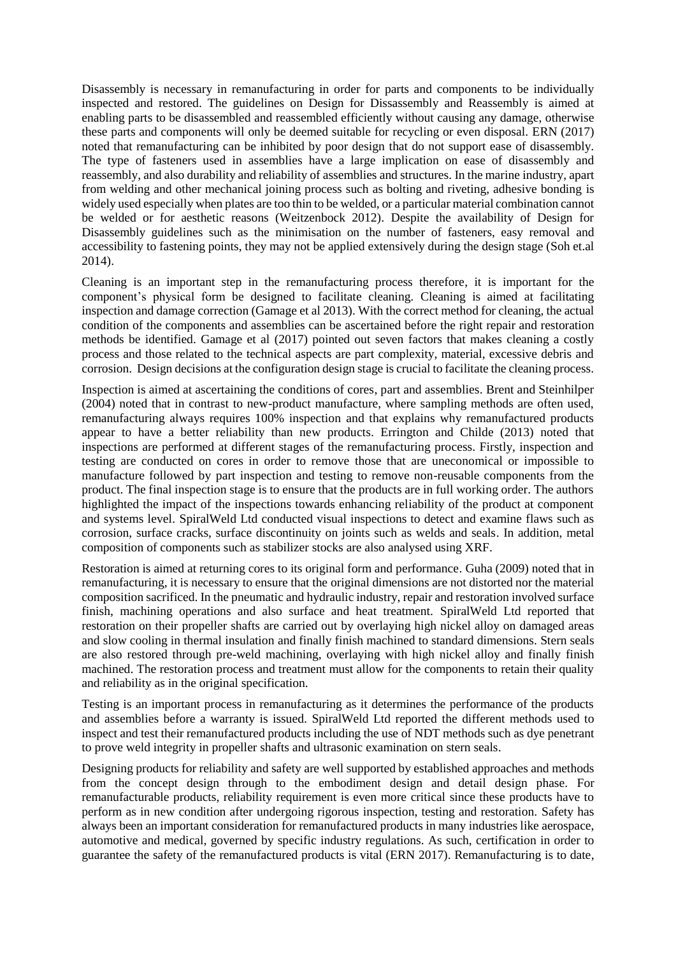Disassembly is necessary in remanufacturing in order for parts and components to be individually inspected and restored. The guidelines on Design for Dissassembly and Reassembly is aimed at enabling parts to be disassembled and reassembled efficiently without causing any damage, otherwise these parts and components will only be deemed suitable for recycling or even disposal. ERN (2017) noted that remanufacturing can be inhibited by poor design that do not support ease of disassembly. The type of fasteners used in assemblies have a large implication on ease of disassembly and reassembly, and also durability and reliability of assemblies and structures. In the marine industry, apart from welding and other mechanical joining process such as bolting and riveting, adhesive bonding is widely used especially when plates are too thin to be welded, or a particular material combination cannot be welded or for aesthetic reasons (Weitzenbock 2012). Despite the availability of Design for Disassembly guidelines such as the minimisation on the number of fasteners, easy removal and accessibility to fastening points, they may not be applied extensively during the design stage (Soh et.al 2014).

Cleaning is an important step in the remanufacturing process therefore, it is important for the component's physical form be designed to facilitate cleaning. Cleaning is aimed at facilitating inspection and damage correction (Gamage et al 2013). With the correct method for cleaning, the actual condition of the components and assemblies can be ascertained before the right repair and restoration methods be identified. Gamage et al (2017) pointed out seven factors that makes cleaning a costly process and those related to the technical aspects are part complexity, material, excessive debris and corrosion. Design decisions at the configuration design stage is crucial to facilitate the cleaning process.

Inspection is aimed at ascertaining the conditions of cores, part and assemblies. Brent and Steinhilper (2004) noted that in contrast to new-product manufacture, where sampling methods are often used, remanufacturing always requires 100% inspection and that explains why remanufactured products appear to have a better reliability than new products. Errington and Childe (2013) noted that inspections are performed at different stages of the remanufacturing process. Firstly, inspection and testing are conducted on cores in order to remove those that are uneconomical or impossible to manufacture followed by part inspection and testing to remove non-reusable components from the product. The final inspection stage is to ensure that the products are in full working order. The authors highlighted the impact of the inspections towards enhancing reliability of the product at component and systems level. SpiralWeld Ltd conducted visual inspections to detect and examine flaws such as corrosion, surface cracks, surface discontinuity on joints such as welds and seals. In addition, metal composition of components such as stabilizer stocks are also analysed using XRF.

Restoration is aimed at returning cores to its original form and performance. Guha (2009) noted that in remanufacturing, it is necessary to ensure that the original dimensions are not distorted nor the material composition sacrificed. In the pneumatic and hydraulic industry, repair and restoration involved surface finish, machining operations and also surface and heat treatment. SpiralWeld Ltd reported that restoration on their propeller shafts are carried out by overlaying high nickel alloy on damaged areas and slow cooling in thermal insulation and finally finish machined to standard dimensions. Stern seals are also restored through pre-weld machining, overlaying with high nickel alloy and finally finish machined. The restoration process and treatment must allow for the components to retain their quality and reliability as in the original specification.

Testing is an important process in remanufacturing as it determines the performance of the products and assemblies before a warranty is issued. SpiralWeld Ltd reported the different methods used to inspect and test their remanufactured products including the use of NDT methods such as dye penetrant to prove weld integrity in propeller shafts and ultrasonic examination on stern seals.

Designing products for reliability and safety are well supported by established approaches and methods from the concept design through to the embodiment design and detail design phase. For remanufacturable products, reliability requirement is even more critical since these products have to perform as in new condition after undergoing rigorous inspection, testing and restoration. Safety has always been an important consideration for remanufactured products in many industries like aerospace, automotive and medical, governed by specific industry regulations. As such, certification in order to guarantee the safety of the remanufactured products is vital (ERN 2017). Remanufacturing is to date,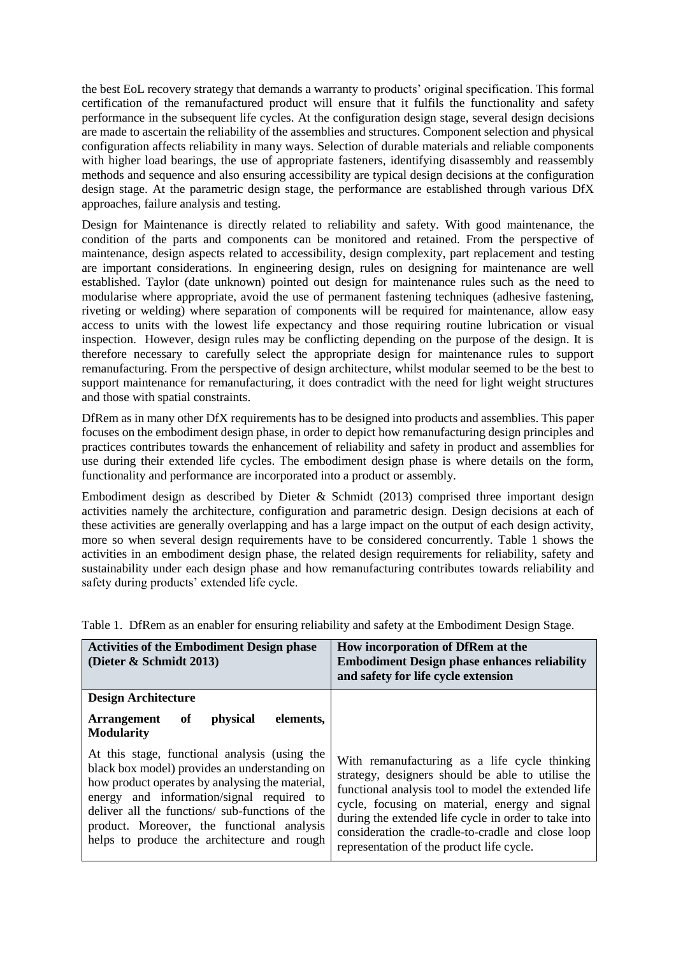the best EoL recovery strategy that demands a warranty to products' original specification. This formal certification of the remanufactured product will ensure that it fulfils the functionality and safety performance in the subsequent life cycles. At the configuration design stage, several design decisions are made to ascertain the reliability of the assemblies and structures. Component selection and physical configuration affects reliability in many ways. Selection of durable materials and reliable components with higher load bearings, the use of appropriate fasteners, identifying disassembly and reassembly methods and sequence and also ensuring accessibility are typical design decisions at the configuration design stage. At the parametric design stage, the performance are established through various DfX approaches, failure analysis and testing.

Design for Maintenance is directly related to reliability and safety. With good maintenance, the condition of the parts and components can be monitored and retained. From the perspective of maintenance, design aspects related to accessibility, design complexity, part replacement and testing are important considerations. In engineering design, rules on designing for maintenance are well established. Taylor (date unknown) pointed out design for maintenance rules such as the need to modularise where appropriate, avoid the use of permanent fastening techniques (adhesive fastening, riveting or welding) where separation of components will be required for maintenance, allow easy access to units with the lowest life expectancy and those requiring routine lubrication or visual inspection. However, design rules may be conflicting depending on the purpose of the design. It is therefore necessary to carefully select the appropriate design for maintenance rules to support remanufacturing. From the perspective of design architecture, whilst modular seemed to be the best to support maintenance for remanufacturing, it does contradict with the need for light weight structures and those with spatial constraints.

DfRem as in many other DfX requirements has to be designed into products and assemblies. This paper focuses on the embodiment design phase, in order to depict how remanufacturing design principles and practices contributes towards the enhancement of reliability and safety in product and assemblies for use during their extended life cycles. The embodiment design phase is where details on the form, functionality and performance are incorporated into a product or assembly.

Embodiment design as described by Dieter  $\&$  Schmidt (2013) comprised three important design activities namely the architecture, configuration and parametric design. Design decisions at each of these activities are generally overlapping and has a large impact on the output of each design activity, more so when several design requirements have to be considered concurrently. Table 1 shows the activities in an embodiment design phase, the related design requirements for reliability, safety and sustainability under each design phase and how remanufacturing contributes towards reliability and safety during products' extended life cycle.

| <b>Activities of the Embodiment Design phase</b><br>(Dieter & Schmidt 2013)                                                                                                                                                                                                                                                                    | How incorporation of DfRem at the<br><b>Embodiment Design phase enhances reliability</b><br>and safety for life cycle extension                                                                                                                                                                                                                                       |
|------------------------------------------------------------------------------------------------------------------------------------------------------------------------------------------------------------------------------------------------------------------------------------------------------------------------------------------------|-----------------------------------------------------------------------------------------------------------------------------------------------------------------------------------------------------------------------------------------------------------------------------------------------------------------------------------------------------------------------|
| <b>Design Architecture</b>                                                                                                                                                                                                                                                                                                                     |                                                                                                                                                                                                                                                                                                                                                                       |
| <i>physical</i><br>elements,<br><b>Arrangement</b><br>of<br><b>Modularity</b>                                                                                                                                                                                                                                                                  |                                                                                                                                                                                                                                                                                                                                                                       |
| At this stage, functional analysis (using the<br>black box model) provides an understanding on<br>how product operates by analysing the material,<br>energy and information/signal required to<br>deliver all the functions/ sub-functions of the<br>product. Moreover, the functional analysis<br>helps to produce the architecture and rough | With remanufacturing as a life cycle thinking<br>strategy, designers should be able to utilise the<br>functional analysis tool to model the extended life<br>cycle, focusing on material, energy and signal<br>during the extended life cycle in order to take into<br>consideration the cradle-to-cradle and close loop<br>representation of the product life cycle. |

Table 1. DfRem as an enabler for ensuring reliability and safety at the Embodiment Design Stage.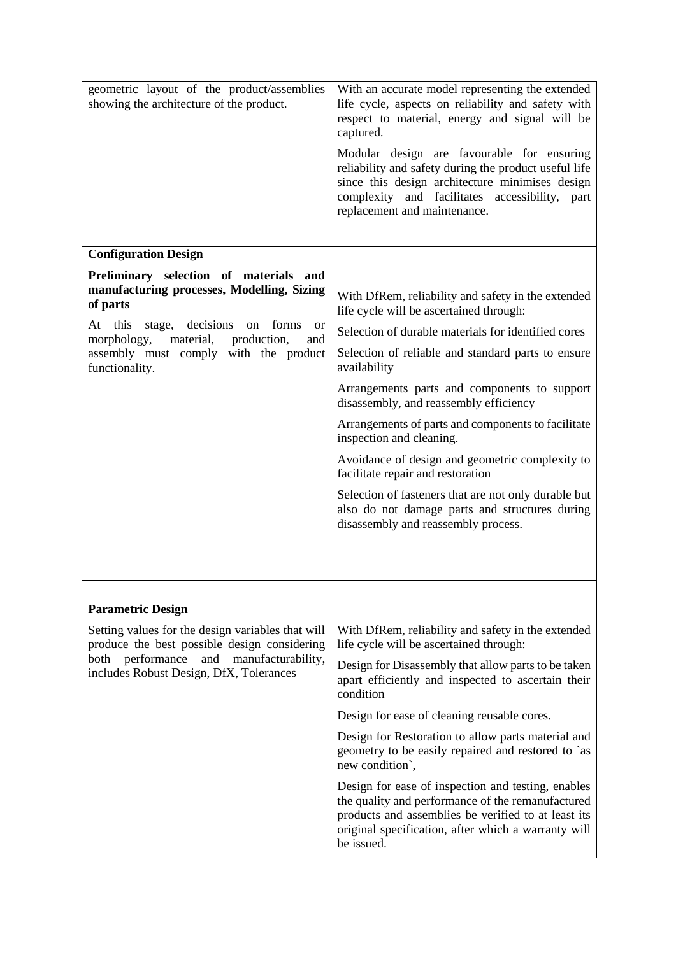| geometric layout of the product/assemblies<br>showing the architecture of the product.                                                                                                                                                                                          | With an accurate model representing the extended<br>life cycle, aspects on reliability and safety with<br>respect to material, energy and signal will be<br>captured.<br>Modular design are favourable for ensuring<br>reliability and safety during the product useful life<br>since this design architecture minimises design<br>complexity and facilitates accessibility,<br>part<br>replacement and maintenance. |
|---------------------------------------------------------------------------------------------------------------------------------------------------------------------------------------------------------------------------------------------------------------------------------|----------------------------------------------------------------------------------------------------------------------------------------------------------------------------------------------------------------------------------------------------------------------------------------------------------------------------------------------------------------------------------------------------------------------|
| <b>Configuration Design</b>                                                                                                                                                                                                                                                     |                                                                                                                                                                                                                                                                                                                                                                                                                      |
| Preliminary selection of materials and<br>manufacturing processes, Modelling, Sizing<br>of parts<br>At this<br>decisions<br>forms<br>stage,<br>on<br><sub>or</sub><br>morphology,<br>material,<br>production,<br>and<br>assembly must comply with the product<br>functionality. | With DfRem, reliability and safety in the extended<br>life cycle will be ascertained through:                                                                                                                                                                                                                                                                                                                        |
|                                                                                                                                                                                                                                                                                 | Selection of durable materials for identified cores                                                                                                                                                                                                                                                                                                                                                                  |
|                                                                                                                                                                                                                                                                                 | Selection of reliable and standard parts to ensure<br>availability                                                                                                                                                                                                                                                                                                                                                   |
|                                                                                                                                                                                                                                                                                 | Arrangements parts and components to support<br>disassembly, and reassembly efficiency                                                                                                                                                                                                                                                                                                                               |
|                                                                                                                                                                                                                                                                                 | Arrangements of parts and components to facilitate<br>inspection and cleaning.                                                                                                                                                                                                                                                                                                                                       |
|                                                                                                                                                                                                                                                                                 | Avoidance of design and geometric complexity to<br>facilitate repair and restoration                                                                                                                                                                                                                                                                                                                                 |
|                                                                                                                                                                                                                                                                                 | Selection of fasteners that are not only durable but<br>also do not damage parts and structures during<br>disassembly and reassembly process.                                                                                                                                                                                                                                                                        |
| <b>Parametric Design</b>                                                                                                                                                                                                                                                        |                                                                                                                                                                                                                                                                                                                                                                                                                      |
| Setting values for the design variables that will<br>produce the best possible design considering<br>performance<br>manufacturability,<br>both<br>and<br>includes Robust Design, DfX, Tolerances                                                                                | With DfRem, reliability and safety in the extended<br>life cycle will be ascertained through:                                                                                                                                                                                                                                                                                                                        |
|                                                                                                                                                                                                                                                                                 | Design for Disassembly that allow parts to be taken<br>apart efficiently and inspected to ascertain their<br>condition                                                                                                                                                                                                                                                                                               |
|                                                                                                                                                                                                                                                                                 | Design for ease of cleaning reusable cores.                                                                                                                                                                                                                                                                                                                                                                          |
|                                                                                                                                                                                                                                                                                 | Design for Restoration to allow parts material and<br>geometry to be easily repaired and restored to `as<br>new condition',                                                                                                                                                                                                                                                                                          |
|                                                                                                                                                                                                                                                                                 | Design for ease of inspection and testing, enables<br>the quality and performance of the remanufactured<br>products and assemblies be verified to at least its<br>original specification, after which a warranty will<br>be issued.                                                                                                                                                                                  |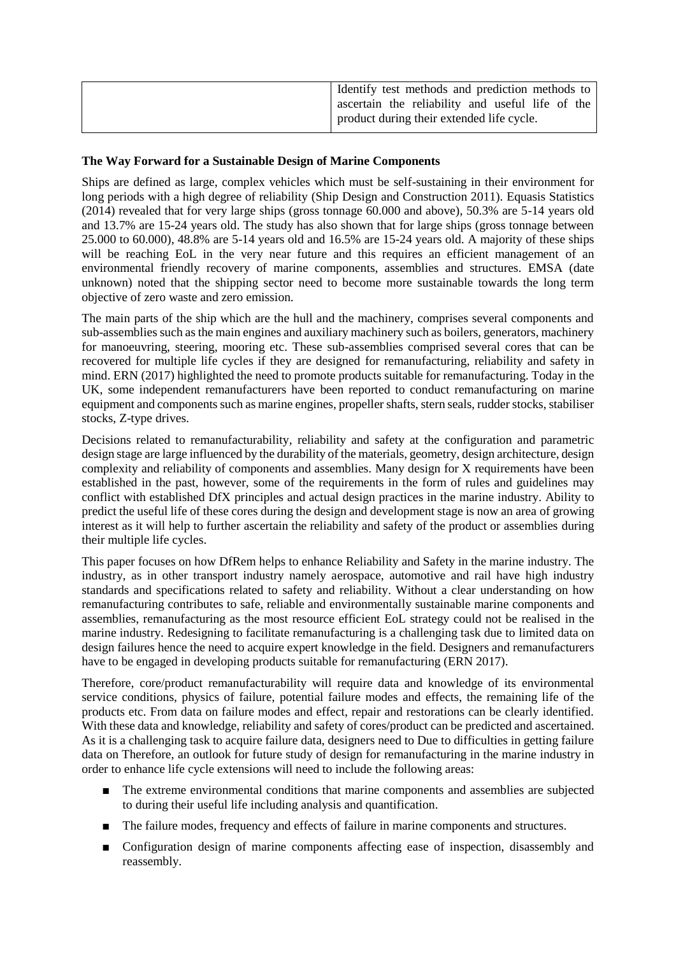| Identify test methods and prediction methods to<br>ascertain the reliability and useful life of the<br>product during their extended life cycle. |
|--------------------------------------------------------------------------------------------------------------------------------------------------|
|                                                                                                                                                  |

# **The Way Forward for a Sustainable Design of Marine Components**

Ships are defined as large, complex vehicles which must be self-sustaining in their environment for long periods with a high degree of reliability (Ship Design and Construction 2011). Equasis Statistics (2014) revealed that for very large ships (gross tonnage 60.000 and above), 50.3% are 5-14 years old and 13.7% are 15-24 years old. The study has also shown that for large ships (gross tonnage between 25.000 to 60.000), 48.8% are 5-14 years old and 16.5% are 15-24 years old. A majority of these ships will be reaching EoL in the very near future and this requires an efficient management of an environmental friendly recovery of marine components, assemblies and structures. EMSA (date unknown) noted that the shipping sector need to become more sustainable towards the long term objective of zero waste and zero emission.

The main parts of the ship which are the hull and the machinery, comprises several components and sub-assemblies such as the main engines and auxiliary machinery such as boilers, generators, machinery for manoeuvring, steering, mooring etc. These sub-assemblies comprised several cores that can be recovered for multiple life cycles if they are designed for remanufacturing, reliability and safety in mind. ERN (2017) highlighted the need to promote products suitable for remanufacturing. Today in the UK, some independent remanufacturers have been reported to conduct remanufacturing on marine equipment and components such as marine engines, propeller shafts, stern seals, rudder stocks, stabiliser stocks, Z-type drives.

Decisions related to remanufacturability, reliability and safety at the configuration and parametric design stage are large influenced by the durability of the materials, geometry, design architecture, design complexity and reliability of components and assemblies. Many design for X requirements have been established in the past, however, some of the requirements in the form of rules and guidelines may conflict with established DfX principles and actual design practices in the marine industry. Ability to predict the useful life of these cores during the design and development stage is now an area of growing interest as it will help to further ascertain the reliability and safety of the product or assemblies during their multiple life cycles.

This paper focuses on how DfRem helps to enhance Reliability and Safety in the marine industry. The industry, as in other transport industry namely aerospace, automotive and rail have high industry standards and specifications related to safety and reliability. Without a clear understanding on how remanufacturing contributes to safe, reliable and environmentally sustainable marine components and assemblies, remanufacturing as the most resource efficient EoL strategy could not be realised in the marine industry. Redesigning to facilitate remanufacturing is a challenging task due to limited data on design failures hence the need to acquire expert knowledge in the field. Designers and remanufacturers have to be engaged in developing products suitable for remanufacturing (ERN 2017).

Therefore, core/product remanufacturability will require data and knowledge of its environmental service conditions, physics of failure, potential failure modes and effects, the remaining life of the products etc. From data on failure modes and effect, repair and restorations can be clearly identified. With these data and knowledge, reliability and safety of cores/product can be predicted and ascertained. As it is a challenging task to acquire failure data, designers need to Due to difficulties in getting failure data on Therefore, an outlook for future study of design for remanufacturing in the marine industry in order to enhance life cycle extensions will need to include the following areas:

- The extreme environmental conditions that marine components and assemblies are subjected to during their useful life including analysis and quantification.
- The failure modes, frequency and effects of failure in marine components and structures.
- Configuration design of marine components affecting ease of inspection, disassembly and reassembly.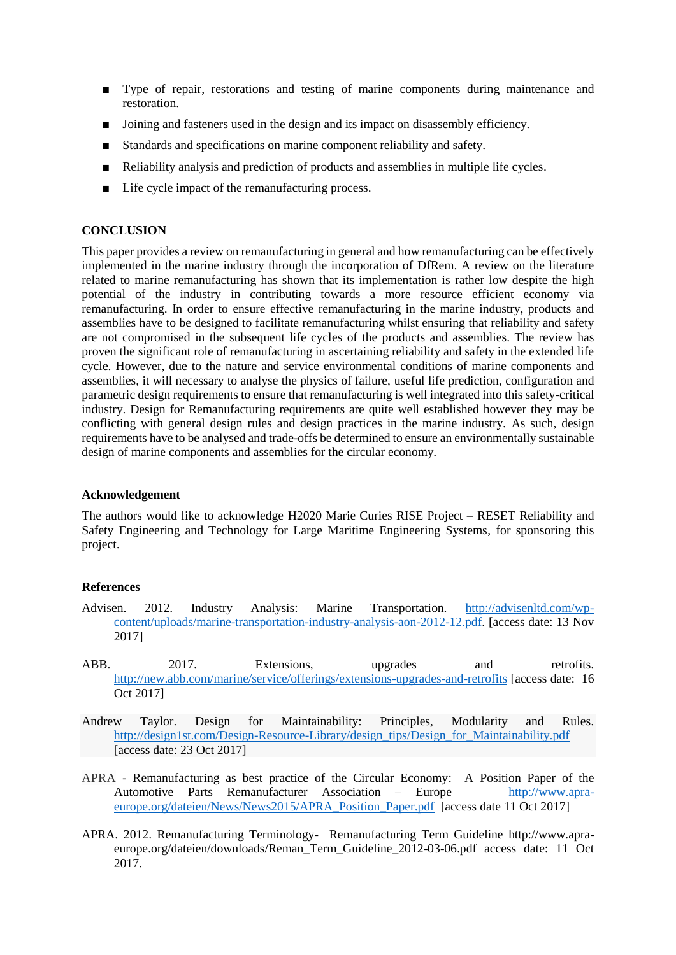- Type of repair, restorations and testing of marine components during maintenance and restoration.
- Joining and fasteners used in the design and its impact on disassembly efficiency.
- Standards and specifications on marine component reliability and safety.
- Reliability analysis and prediction of products and assemblies in multiple life cycles.
- Life cycle impact of the remanufacturing process.

#### **CONCLUSION**

This paper provides a review on remanufacturing in general and how remanufacturing can be effectively implemented in the marine industry through the incorporation of DfRem. A review on the literature related to marine remanufacturing has shown that its implementation is rather low despite the high potential of the industry in contributing towards a more resource efficient economy via remanufacturing. In order to ensure effective remanufacturing in the marine industry, products and assemblies have to be designed to facilitate remanufacturing whilst ensuring that reliability and safety are not compromised in the subsequent life cycles of the products and assemblies. The review has proven the significant role of remanufacturing in ascertaining reliability and safety in the extended life cycle. However, due to the nature and service environmental conditions of marine components and assemblies, it will necessary to analyse the physics of failure, useful life prediction, configuration and parametric design requirements to ensure that remanufacturing is well integrated into this safety-critical industry. Design for Remanufacturing requirements are quite well established however they may be conflicting with general design rules and design practices in the marine industry. As such, design requirements have to be analysed and trade-offs be determined to ensure an environmentally sustainable design of marine components and assemblies for the circular economy.

# **Acknowledgement**

The authors would like to acknowledge H2020 Marie Curies RISE Project – RESET Reliability and Safety Engineering and Technology for Large Maritime Engineering Systems, for sponsoring this project.

#### **References**

- Advisen. 2012. Industry Analysis: Marine Transportation. [http://advisenltd.com/wp](http://advisenltd.com/wp-content/uploads/marine-transportation-industry-analysis-aon-2012-12.pdf)[content/uploads/marine-transportation-industry-analysis-aon-2012-12.pdf.](http://advisenltd.com/wp-content/uploads/marine-transportation-industry-analysis-aon-2012-12.pdf) [access date: 13 Nov 2017]
- ABB. 2017. Extensions, upgrades and retrofits. <http://new.abb.com/marine/service/offerings/extensions-upgrades-and-retrofits> [access date: 16 Oct 2017]
- Andrew Taylor. Design for Maintainability: Principles, Modularity and Rules. [http://design1st.com/Design-Resource-Library/design\\_tips/Design\\_for\\_Maintainability.pdf](http://design1st.com/Design-Resource-Library/design_tips/Design_for_Maintainability.pdf) [access date: 23 Oct 2017]
- APRA Remanufacturing as best practice of the Circular Economy: A Position Paper of the Automotive Parts Remanufacturer Association – Europe [http://www.apra](http://www.apra-europe.org/dateien/News/News2015/APRA_Position_Paper.pdf)[europe.org/dateien/News/News2015/APRA\\_Position\\_Paper.pdf](http://www.apra-europe.org/dateien/News/News2015/APRA_Position_Paper.pdf) [access date 11 Oct 2017]
- APRA. 2012. Remanufacturing Terminology- Remanufacturing Term Guideline http://www.apraeurope.org/dateien/downloads/Reman\_Term\_Guideline\_2012-03-06.pdf access date: 11 Oct 2017.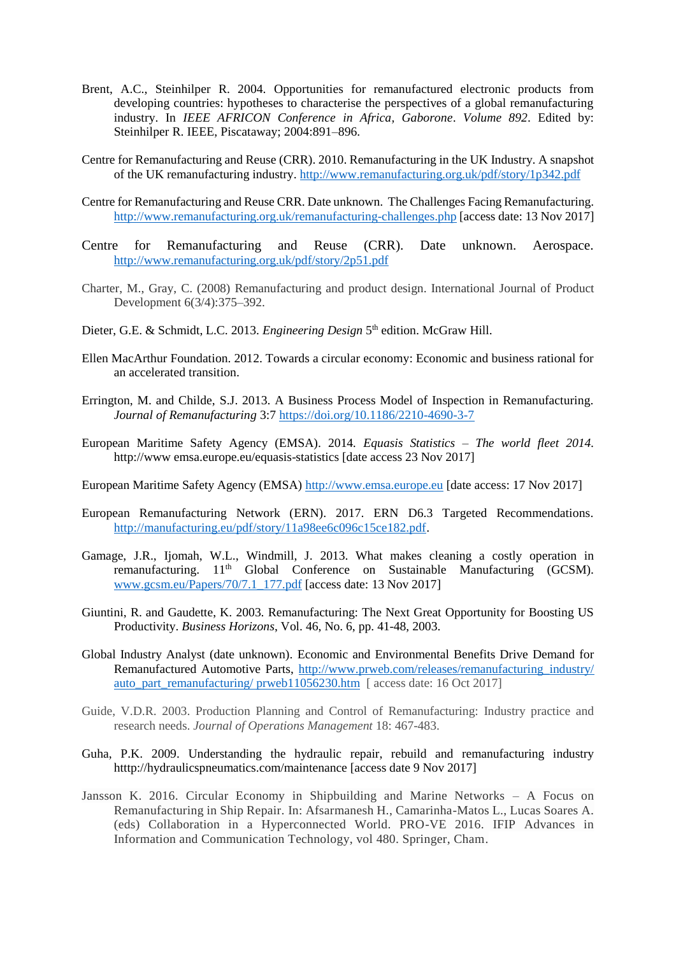- Brent, A.C., Steinhilper R. 2004. Opportunities for remanufactured electronic products from developing countries: hypotheses to characterise the perspectives of a global remanufacturing industry. In *IEEE AFRICON Conference in Africa, Gaborone*. *Volume 892*. Edited by: Steinhilper R. IEEE, Piscataway; 2004:891–896.
- Centre for Remanufacturing and Reuse (CRR). 2010. Remanufacturing in the UK Industry. A snapshot of the UK remanufacturing industry.<http://www.remanufacturing.org.uk/pdf/story/1p342.pdf>
- Centre for Remanufacturing and Reuse CRR. Date unknown. The Challenges Facing Remanufacturing. <http://www.remanufacturing.org.uk/remanufacturing-challenges.php> [access date: 13 Nov 2017]
- Centre for Remanufacturing and Reuse (CRR). Date unknown. Aerospace. <http://www.remanufacturing.org.uk/pdf/story/2p51.pdf>
- Charter, M., Gray, C. (2008) Remanufacturing and product design. International Journal of Product Development 6(3/4):375–392.
- Dieter, G.E. & Schmidt, L.C. 2013. *Engineering Design* 5<sup>th</sup> edition. McGraw Hill.
- Ellen MacArthur Foundation. 2012. Towards a circular economy: Economic and business rational for an accelerated transition.
- Errington, M. and Childe, S.J. 2013. A Business Process Model of Inspection in Remanufacturing. *Journal of Remanufacturing* 3:7<https://doi.org/10.1186/2210-4690-3-7>
- European Maritime Safety Agency (EMSA). 2014. *Equasis Statistics – The world fleet 2014.* http://www.emsa.europe.eu/equasis-statistics [date access 23 Nov 2017]
- European Maritime Safety Agency (EMSA) [http://www.emsa.europe.eu](http://www.emsa.europe.eu/) [date access: 17 Nov 2017]
- European Remanufacturing Network (ERN). 2017. ERN D6.3 Targeted Recommendations. [http://manufacturing.eu/pdf/story/11a98ee6c096c15ce182.pdf.](http://manufacturing.eu/pdf/story/11a98ee6c096c15ce182.pdf)
- Gamage, J.R., Ijomah, W.L., Windmill, J. 2013. What makes cleaning a costly operation in remanufacturing.  $11<sup>th</sup>$  Global Conference on Sustainable Manufacturing (GCSM). [www.gcsm.eu/Papers/70/7.1\\_177.pdf](http://www.gcsm.eu/Papers/70/7.1_177.pdf) [access date: 13 Nov 2017]
- Giuntini, R. and Gaudette, K. 2003. Remanufacturing: The Next Great Opportunity for Boosting US Productivity. *Business Horizons*, Vol. 46, No. 6, pp. 41-48, 2003.
- Global Industry Analyst (date unknown). Economic and Environmental Benefits Drive Demand for Remanufactured Automotive Parts, [http://www.prweb.com/releases/remanufacturing\\_industry/](http://www.prweb.com/releases/remanufacturing_industry/%20auto_part_remanufacturing/%20prweb11056230.htm)  auto part remanufacturing/ prweb11056230.htm [ access date: 16 Oct 2017]
- Guide, V.D.R. 2003. Production Planning and Control of Remanufacturing: Industry practice and research needs. *Journal of Operations Management* 18: 467-483.
- Guha, P.K. 2009. Understanding the hydraulic repair, rebuild and remanufacturing industry htttp://hydraulicspneumatics.com/maintenance [access date 9 Nov 2017]
- Jansson K. 2016. Circular Economy in Shipbuilding and Marine Networks A Focus on Remanufacturing in Ship Repair. In: Afsarmanesh H., Camarinha-Matos L., Lucas Soares A. (eds) Collaboration in a Hyperconnected World. PRO-VE 2016. IFIP Advances in Information and Communication Technology, vol 480. Springer, Cham.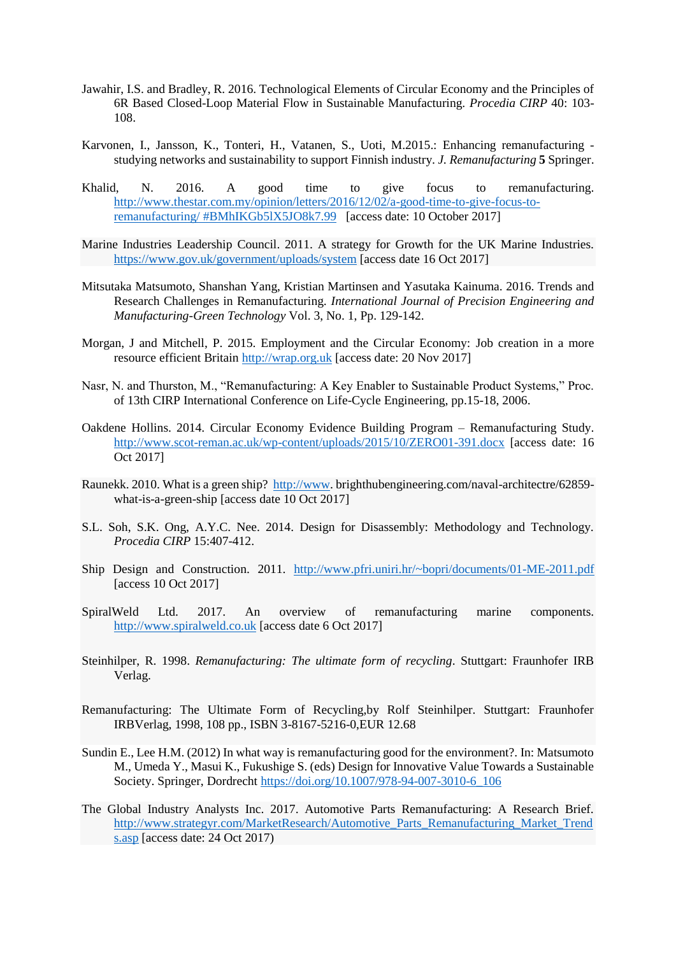- Jawahir, I.S. and Bradley, R. 2016. Technological Elements of Circular Economy and the Principles of 6R Based Closed-Loop Material Flow in Sustainable Manufacturing. *Procedia CIRP* 40: 103- 108.
- Karvonen, I., Jansson, K., Tonteri, H., Vatanen, S., Uoti, M.2015.: Enhancing remanufacturing studying networks and sustainability to support Finnish industry. *J. Remanufacturing* **5** Springer.
- Khalid, N. 2016. A good time to give focus to remanufacturing. [http://www.thestar.com.my/opinion/letters/2016/12/02/a-good-time-to-give-focus-to](http://www.thestar.com.my/opinion/letters/2016/12/02/a-good-time-to-give-focus-to-remanufacturing/#BMhIKGb5lX5JO8k7.99)remanufacturing/ [#BMhIKGb5lX5JO8k7.99](http://www.thestar.com.my/opinion/letters/2016/12/02/a-good-time-to-give-focus-to-remanufacturing/#BMhIKGb5lX5JO8k7.99) [access date: 10 October 2017]
- Marine Industries Leadership Council. 2011. A strategy for Growth for the UK Marine Industries. <https://www.gov.uk/government/uploads/system> [access date 16 Oct 2017]
- Mitsutaka Matsumoto, Shanshan Yang, Kristian Martinsen and Yasutaka Kainuma. 2016. Trends and Research Challenges in Remanufacturing. *International Journal of Precision Engineering and Manufacturing-Green Technology* Vol. 3, No. 1, Pp. 129-142.
- Morgan, J and Mitchell, P. 2015. Employment and the Circular Economy: Job creation in a more resource efficient Britain [http://wrap.org.uk](http://wrap.org.uk/) [access date: 20 Nov 2017]
- Nasr, N. and Thurston, M., "Remanufacturing: A Key Enabler to Sustainable Product Systems," Proc. of 13th CIRP International Conference on Life-Cycle Engineering, pp.15-18, 2006.
- Oakdene Hollins. 2014. Circular Economy Evidence Building Program Remanufacturing Study. <http://www.scot-reman.ac.uk/wp-content/uploads/2015/10/ZERO01-391.docx> [access date: 16 Oct 2017]
- Raunekk. 2010. What is a green ship? [http://www.](http://www/) brighthubengineering.com/naval-architectre/62859 what-is-a-green-ship [access date 10 Oct 2017]
- S.L. Soh, S.K. Ong, A.Y.C. Nee. 2014. Design for Disassembly: Methodology and Technology. *Procedia CIRP* 15:407-412.
- Ship Design and Construction. 2011. <http://www.pfri.uniri.hr/~bopri/documents/01-ME-2011.pdf> [access 10 Oct 2017]
- SpiralWeld Ltd. 2017. An overview of remanufacturing marine components. [http://www.spiralweld.co.uk](http://www.spiralweld.co.uk/) [access date 6 Oct 2017]
- Steinhilper, R. 1998. *Remanufacturing: The ultimate form of recycling*. Stuttgart: Fraunhofer IRB Verlag.
- Remanufacturing: The Ultimate Form of Recycling,by Rolf Steinhilper. Stuttgart: Fraunhofer IRBVerlag, 1998, 108 pp., ISBN 3-8167-5216-0,EUR 12.68
- Sundin E., Lee H.M. (2012) In what way is remanufacturing good for the environment?. In: Matsumoto M., Umeda Y., Masui K., Fukushige S. (eds) Design for Innovative Value Towards a Sustainable Society. Springer, Dordrecht [https://doi.org/10.1007/978-94-007-3010-6\\_106](https://doi.org/10.1007/978-94-007-3010-6_106)
- The Global Industry Analysts Inc. 2017. Automotive Parts Remanufacturing: A Research Brief. [http://www.strategyr.com/MarketResearch/Automotive\\_Parts\\_Remanufacturing\\_Market\\_Trend](http://www.strategyr.com/MarketResearch/Automotive_Parts_Remanufacturing_Market_Trends.asp) [s.asp](http://www.strategyr.com/MarketResearch/Automotive_Parts_Remanufacturing_Market_Trends.asp) [access date: 24 Oct 2017)